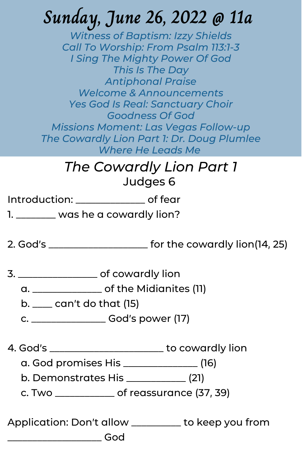# **Sunday, June 26, 2022 @ 11a**

*Witness of Baptism: Izzy Shields Call To Worship: From Psalm 113:1-3 I Sing The Mighty Power Of God This Is The Day Antiphonal Praise Welcome & Announcements Yes God Is Real: Sanctuary Choir Goodness Of God Missions Moment: Las Vegas Follow-up The Cowardly Lion Part 1: Dr. Doug Plumlee Where He Leads Me*

#### *The Cowardly Lion Part 1* Judges 6

Introduction: \_\_\_\_\_\_\_\_\_\_\_\_\_\_ of fear

1. \_\_\_\_\_\_\_ was he a cowardly lion?

2. God's \_\_\_\_\_\_\_\_\_\_\_\_\_\_\_\_\_\_\_\_ for the cowardly lion(14, 25)

3. \_\_\_\_\_\_\_\_\_\_\_\_\_\_\_\_ of cowardly lion

a. \_\_\_\_\_\_\_\_\_\_\_\_\_\_ of the Midianites (11)

b. \_\_\_\_ can't do that (15)

c. \_\_\_\_\_\_\_\_\_\_\_\_\_\_\_ God's power (17)

4. God's \_\_\_\_\_\_\_\_\_\_\_\_\_\_\_\_\_\_\_\_\_\_\_ to cowardly lion

a. God promises His \_\_\_\_\_\_\_\_\_\_\_\_\_\_\_ (16)

b. Demonstrates His \_\_\_\_\_\_\_\_\_\_\_\_ (21)

c. Two \_\_\_\_\_\_\_\_\_\_\_\_ of reassurance (37, 39)

Application: Don't allow \_\_\_\_\_\_\_\_\_\_ to keep you from \_\_\_\_\_\_\_\_\_\_\_\_\_\_\_\_\_\_\_ God